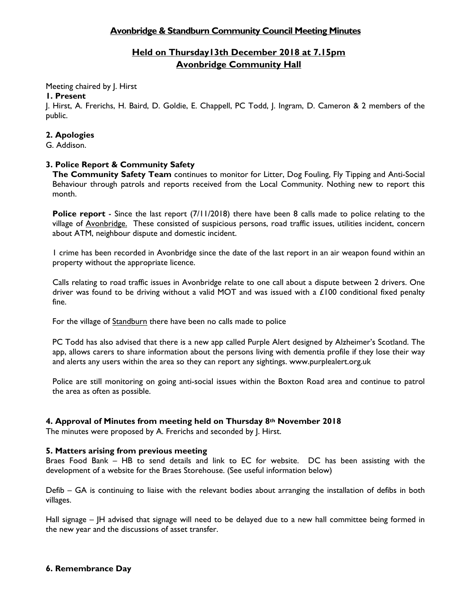# **Avonbridge & Standburn Community Council Meeting Minutes**

# **Held on Thursday13th December 2018 at 7.15pm Avonbridge Community Hall**

Meeting chaired by J. Hirst

## **1. Present**

J. Hirst, A. Frerichs, H. Baird, D. Goldie, E. Chappell, PC Todd, J. Ingram, D. Cameron & 2 members of the public.

## **2. Apologies**

G. Addison.

# **3. Police Report & Community Safety**

**The Community Safety Team** continues to monitor for Litter, Dog Fouling, Fly Tipping and Anti-Social Behaviour through patrols and reports received from the Local Community. Nothing new to report this month.

**Police report** - Since the last report (7/11/2018) there have been 8 calls made to police relating to the village of Avonbridge. These consisted of suspicious persons, road traffic issues, utilities incident, concern about ATM, neighbour dispute and domestic incident.

1 crime has been recorded in Avonbridge since the date of the last report in an air weapon found within an property without the appropriate licence.

Calls relating to road traffic issues in Avonbridge relate to one call about a dispute between 2 drivers. One driver was found to be driving without a valid MOT and was issued with a £100 conditional fixed penalty fine.

For the village of Standburn there have been no calls made to police

PC Todd has also advised that there is a new app called Purple Alert designed by Alzheimer's Scotland. The app, allows carers to share information about the persons living with dementia profile if they lose their way and alerts any users within the area so they can report any sightings. www.purplealert.org.uk

Police are still monitoring on going anti-social issues within the Boxton Road area and continue to patrol the area as often as possible.

# **4. Approval of Minutes from meeting held on Thursday 8th November 2018**

The minutes were proposed by A. Frerichs and seconded by J. Hirst.

#### **5. Matters arising from previous meeting**

Braes Food Bank – HB to send details and link to EC for website. DC has been assisting with the development of a website for the Braes Storehouse. (See useful information below)

Defib – GA is continuing to liaise with the relevant bodies about arranging the installation of defibs in both villages.

Hall signage – JH advised that signage will need to be delayed due to a new hall committee being formed in the new year and the discussions of asset transfer.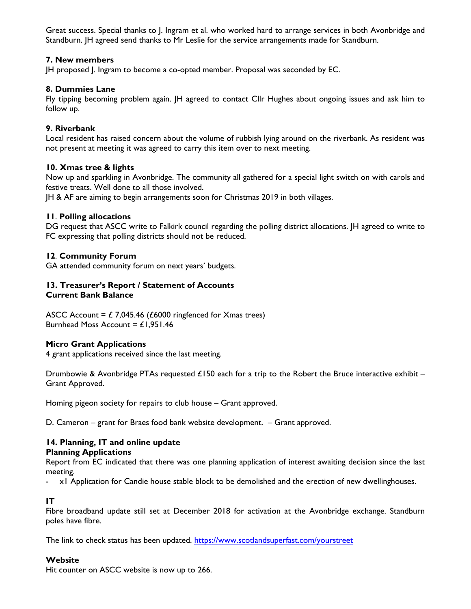Great success. Special thanks to J. Ingram et al. who worked hard to arrange services in both Avonbridge and Standburn. JH agreed send thanks to Mr Leslie for the service arrangements made for Standburn.

# **7. New members**

JH proposed J. Ingram to become a co-opted member. Proposal was seconded by EC.

## **8. Dummies Lane**

Fly tipping becoming problem again. JH agreed to contact Cllr Hughes about ongoing issues and ask him to follow up.

## **9. Riverbank**

Local resident has raised concern about the volume of rubbish lying around on the riverbank. As resident was not present at meeting it was agreed to carry this item over to next meeting.

#### **10. Xmas tree & lights**

Now up and sparkling in Avonbridge. The community all gathered for a special light switch on with carols and festive treats. Well done to all those involved.

JH & AF are aiming to begin arrangements soon for Christmas 2019 in both villages.

## **11**. **Polling allocations**

DG request that ASCC write to Falkirk council regarding the polling district allocations. JH agreed to write to FC expressing that polling districts should not be reduced.

## **12**. **Community Forum**

GA attended community forum on next years' budgets.

### **13. Treasurer's Report / Statement of Accounts Current Bank Balance**

ASCC Account =  $\angle$  7,045.46 ( $\angle$ 6000 ringfenced for Xmas trees) Burnhead Moss Account =  $£1,951.46$ 

#### **Micro Grant Applications**

4 grant applications received since the last meeting.

Drumbowie & Avonbridge PTAs requested £150 each for a trip to the Robert the Bruce interactive exhibit – Grant Approved.

Homing pigeon society for repairs to club house – Grant approved.

D. Cameron – grant for Braes food bank website development. – Grant approved.

#### **14. Planning, IT and online update Planning Applications**

Report from EC indicated that there was one planning application of interest awaiting decision since the last meeting.

- x1 Application for Candie house stable block to be demolished and the erection of new dwellinghouses.

# **IT**

Fibre broadband update still set at December 2018 for activation at the Avonbridge exchange. Standburn poles have fibre.

The link to check status has been updated.<https://www.scotlandsuperfast.com/yourstreet>

#### **Website**

Hit counter on ASCC website is now up to 266.